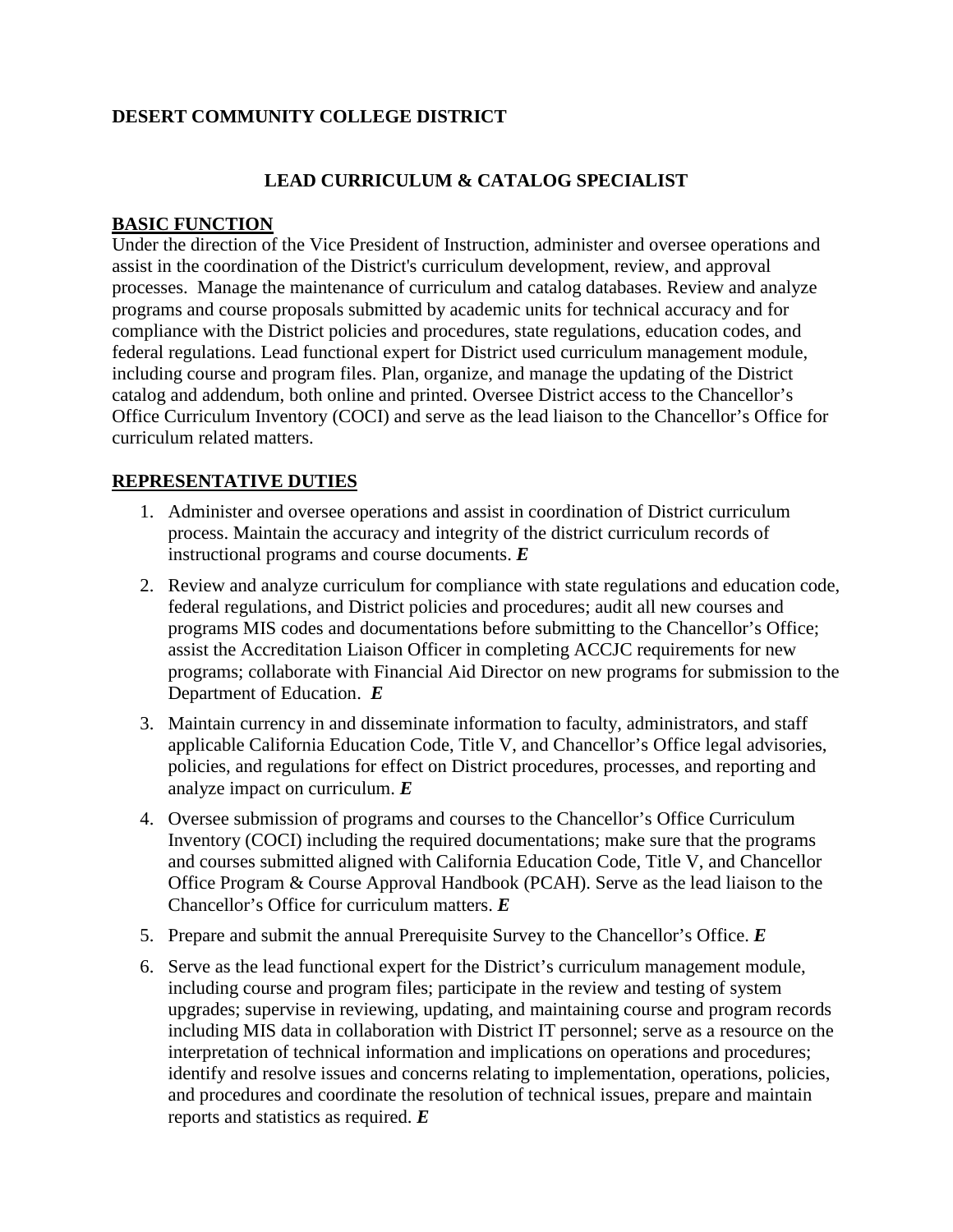# **DESERT COMMUNITY COLLEGE DISTRICT**

### **LEAD CURRICULUM & CATALOG SPECIALIST**

#### **BASIC FUNCTION**

Under the direction of the Vice President of Instruction, administer and oversee operations and assist in the coordination of the District's curriculum development, review, and approval processes. Manage the maintenance of curriculum and catalog databases. Review and analyze programs and course proposals submitted by academic units for technical accuracy and for compliance with the District policies and procedures, state regulations, education codes, and federal regulations. Lead functional expert for District used curriculum management module, including course and program files. Plan, organize, and manage the updating of the District catalog and addendum, both online and printed. Oversee District access to the Chancellor's Office Curriculum Inventory (COCI) and serve as the lead liaison to the Chancellor's Office for curriculum related matters.

#### **REPRESENTATIVE DUTIES**

- 1. Administer and oversee operations and assist in coordination of District curriculum process. Maintain the accuracy and integrity of the district curriculum records of instructional programs and course documents. *E*
- 2. Review and analyze curriculum for compliance with state regulations and education code, federal regulations, and District policies and procedures; audit all new courses and programs MIS codes and documentations before submitting to the Chancellor's Office; assist the Accreditation Liaison Officer in completing ACCJC requirements for new programs; collaborate with Financial Aid Director on new programs for submission to the Department of Education. *E*
- 3. Maintain currency in and disseminate information to faculty, administrators, and staff applicable California Education Code, Title V, and Chancellor's Office legal advisories, policies, and regulations for effect on District procedures, processes, and reporting and analyze impact on curriculum. *E*
- 4. Oversee submission of programs and courses to the Chancellor's Office Curriculum Inventory (COCI) including the required documentations; make sure that the programs and courses submitted aligned with California Education Code, Title V, and Chancellor Office Program & Course Approval Handbook (PCAH). Serve as the lead liaison to the Chancellor's Office for curriculum matters. *E*
- 5. Prepare and submit the annual Prerequisite Survey to the Chancellor's Office. *E*
- 6. Serve as the lead functional expert for the District's curriculum management module, including course and program files; participate in the review and testing of system upgrades; supervise in reviewing, updating, and maintaining course and program records including MIS data in collaboration with District IT personnel; serve as a resource on the interpretation of technical information and implications on operations and procedures; identify and resolve issues and concerns relating to implementation, operations, policies, and procedures and coordinate the resolution of technical issues, prepare and maintain reports and statistics as required. *E*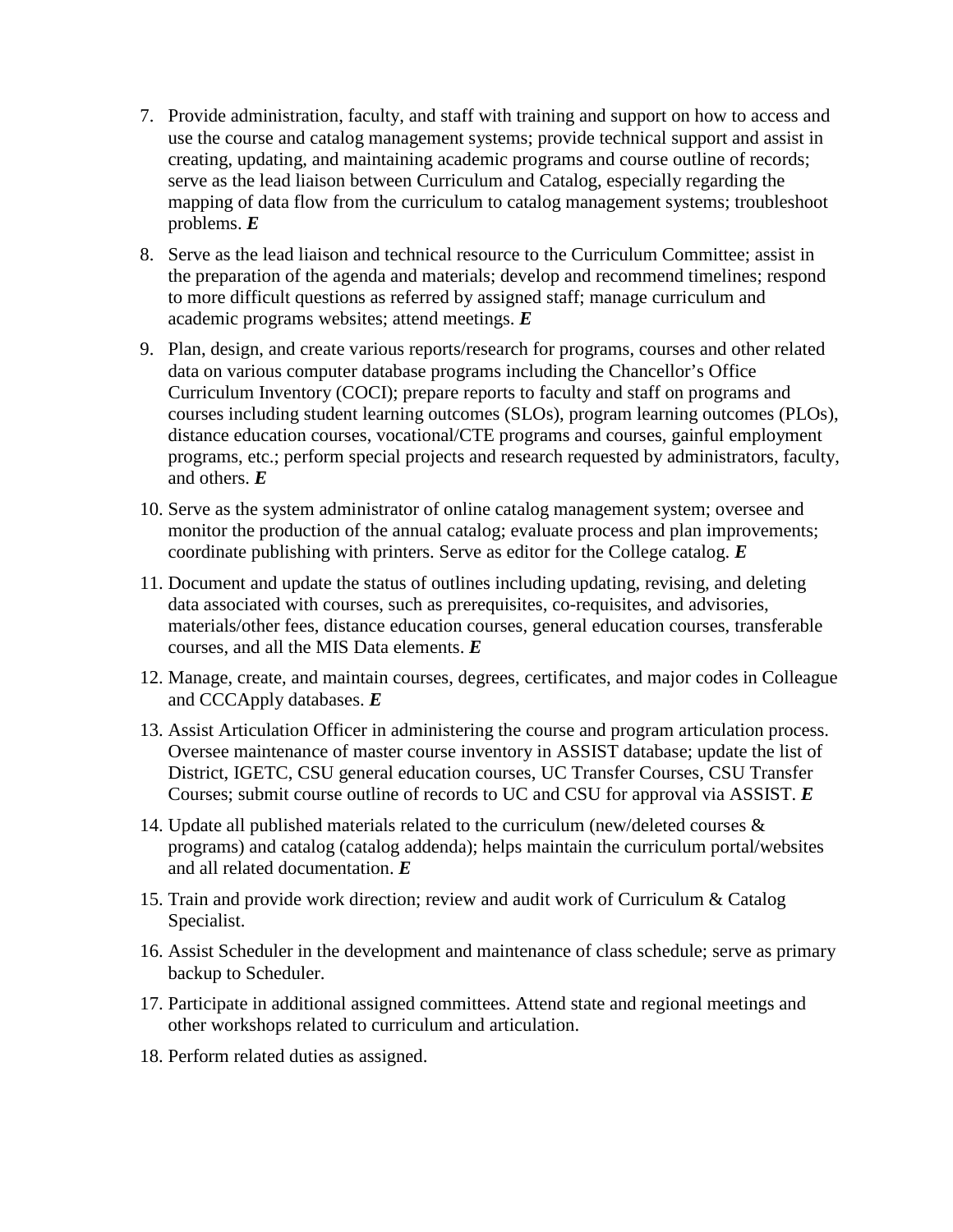- 7. Provide administration, faculty, and staff with training and support on how to access and use the course and catalog management systems; provide technical support and assist in creating, updating, and maintaining academic programs and course outline of records; serve as the lead liaison between Curriculum and Catalog, especially regarding the mapping of data flow from the curriculum to catalog management systems; troubleshoot problems. *E*
- 8. Serve as the lead liaison and technical resource to the Curriculum Committee; assist in the preparation of the agenda and materials; develop and recommend timelines; respond to more difficult questions as referred by assigned staff; manage curriculum and academic programs websites; attend meetings. *E*
- 9. Plan, design, and create various reports/research for programs, courses and other related data on various computer database programs including the Chancellor's Office Curriculum Inventory (COCI); prepare reports to faculty and staff on programs and courses including student learning outcomes (SLOs), program learning outcomes (PLOs), distance education courses, vocational/CTE programs and courses, gainful employment programs, etc.; perform special projects and research requested by administrators, faculty, and others. *E*
- 10. Serve as the system administrator of online catalog management system; oversee and monitor the production of the annual catalog; evaluate process and plan improvements; coordinate publishing with printers. Serve as editor for the College catalog. *E*
- 11. Document and update the status of outlines including updating, revising, and deleting data associated with courses, such as prerequisites, co-requisites, and advisories, materials/other fees, distance education courses, general education courses, transferable courses, and all the MIS Data elements. *E*
- 12. Manage, create, and maintain courses, degrees, certificates, and major codes in Colleague and CCCApply databases. *E*
- 13. Assist Articulation Officer in administering the course and program articulation process. Oversee maintenance of master course inventory in ASSIST database; update the list of District, IGETC, CSU general education courses, UC Transfer Courses, CSU Transfer Courses; submit course outline of records to UC and CSU for approval via ASSIST. *E*
- 14. Update all published materials related to the curriculum (new/deleted courses & programs) and catalog (catalog addenda); helps maintain the curriculum portal/websites and all related documentation. *E*
- 15. Train and provide work direction; review and audit work of Curriculum & Catalog Specialist.
- 16. Assist Scheduler in the development and maintenance of class schedule; serve as primary backup to Scheduler.
- 17. Participate in additional assigned committees. Attend state and regional meetings and other workshops related to curriculum and articulation.
- 18. Perform related duties as assigned.